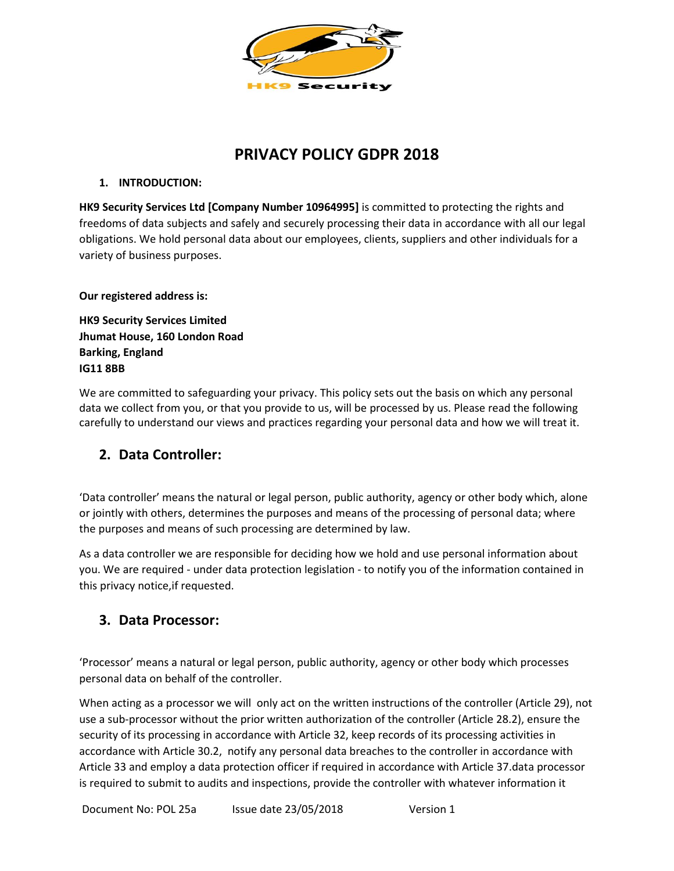

# **PRIVACY POLICY GDPR 2018**

### **1. INTRODUCTION:**

**HK9 Security Services Ltd [Company Number 10964995]** is committed to protecting the rights and freedoms of data subjects and safely and securely processing their data in accordance with all our legal obligations. We hold personal data about our employees, clients, suppliers and other individuals for a variety of business purposes.

**Our registered address is:**

**HK9 Security Services Limited Jhumat House, 160 London Road Barking, England IG11 8BB**

We are committed to safeguarding your privacy. This policy sets out the basis on which any personal data we collect from you, or that you provide to us, will be processed by us. Please read the following carefully to understand our views and practices regarding your personal data and how we will treat it.

## **2. Data Controller:**

'Data controller' means the natural or legal person, public authority, agency or other body which, alone or jointly with others, determines the purposes and means of the processing of personal data; where the purposes and means of such processing are determined by law.

As a data controller we are responsible for deciding how we hold and use personal information about you. We are required - under data protection legislation - to notify you of the information contained in this privacy notice,if requested.

### **3. Data Processor:**

'Processor' means a natural or legal person, public authority, agency or other body which processes personal data on behalf of the controller.

When acting as a processor we will only act on the written instructions of the controller (Article 29), not use a sub-processor without the prior written authorization of the controller (Article 28.2), ensure the security of its processing in accordance with Article 32, keep records of its processing activities in accordance with Article 30.2, notify any personal data breaches to the controller in accordance with Article 33 and employ a data protection officer if required in accordance with Article 37.data processor is required to submit to audits and inspections, provide the controller with whatever information it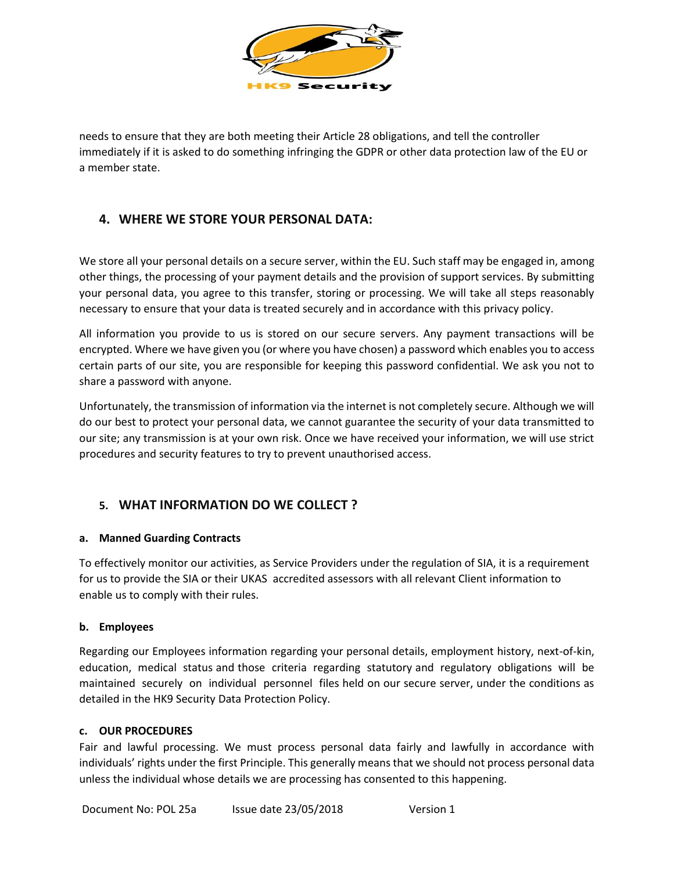

needs to ensure that they are both meeting their Article 28 obligations, and tell the controller immediately if it is asked to do something infringing the GDPR or other data protection law of the EU or a member state.

### **4. WHERE WE STORE YOUR PERSONAL DATA:**

We store all your personal details on a secure server, within the EU. Such staff may be engaged in, among other things, the processing of your payment details and the provision of support services. By submitting your personal data, you agree to this transfer, storing or processing. We will take all steps reasonably necessary to ensure that your data is treated securely and in accordance with this privacy policy.

All information you provide to us is stored on our secure servers. Any payment transactions will be encrypted. Where we have given you (or where you have chosen) a password which enables you to access certain parts of our site, you are responsible for keeping this password confidential. We ask you not to share a password with anyone.

Unfortunately, the transmission of information via the internet is not completely secure. Although we will do our best to protect your personal data, we cannot guarantee the security of your data transmitted to our site; any transmission is at your own risk. Once we have received your information, we will use strict procedures and security features to try to prevent unauthorised access.

### **5. WHAT INFORMATION DO WE COLLECT ?**

#### **a. Manned Guarding Contracts**

To effectively monitor our activities, as Service Providers under the regulation of SIA, it is a requirement for us to provide the SIA or their UKAS accredited assessors with all relevant Client information to enable us to comply with their rules.

#### **b. Employees**

Regarding our Employees information regarding your personal details, employment history, next-of-kin, education, medical status and those criteria regarding statutory and regulatory obligations will be maintained securely on individual personnel files held on our secure server, under the conditions as detailed in the HK9 Security Data Protection Policy.

#### **c. OUR PROCEDURES**

Fair and lawful processing. We must process personal data fairly and lawfully in accordance with individuals' rights under the first Principle. This generally means that we should not process personal data unless the individual whose details we are processing has consented to this happening.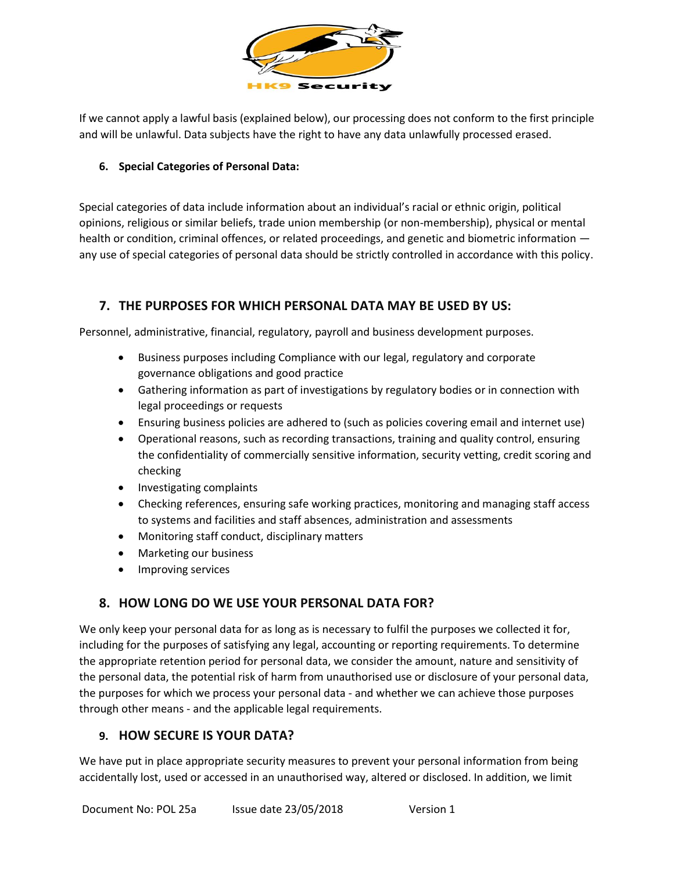

If we cannot apply a lawful basis (explained below), our processing does not conform to the first principle and will be unlawful. Data subjects have the right to have any data unlawfully processed erased.

### **6. Special Categories of Personal Data:**

Special categories of data include information about an individual's racial or ethnic origin, political opinions, religious or similar beliefs, trade union membership (or non-membership), physical or mental health or condition, criminal offences, or related proceedings, and genetic and biometric information any use of special categories of personal data should be strictly controlled in accordance with this policy.

### **7. THE PURPOSES FOR WHICH PERSONAL DATA MAY BE USED BY US:**

Personnel, administrative, financial, regulatory, payroll and business development purposes.

- Business purposes including Compliance with our legal, regulatory and corporate governance obligations and good practice
- Gathering information as part of investigations by regulatory bodies or in connection with legal proceedings or requests
- Ensuring business policies are adhered to (such as policies covering email and internet use)
- Operational reasons, such as recording transactions, training and quality control, ensuring the confidentiality of commercially sensitive information, security vetting, credit scoring and checking
- Investigating complaints
- Checking references, ensuring safe working practices, monitoring and managing staff access to systems and facilities and staff absences, administration and assessments
- Monitoring staff conduct, disciplinary matters
- Marketing our business
- Improving services

### **8. HOW LONG DO WE USE YOUR PERSONAL DATA FOR?**

We only keep your personal data for as long as is necessary to fulfil the purposes we collected it for, including for the purposes of satisfying any legal, accounting or reporting requirements. To determine the appropriate retention period for personal data, we consider the amount, nature and sensitivity of the personal data, the potential risk of harm from unauthorised use or disclosure of your personal data, the purposes for which we process your personal data - and whether we can achieve those purposes through other means - and the applicable legal requirements.

### **9. HOW SECURE IS YOUR DATA?**

We have put in place appropriate security measures to prevent your personal information from being accidentally lost, used or accessed in an unauthorised way, altered or disclosed. In addition, we limit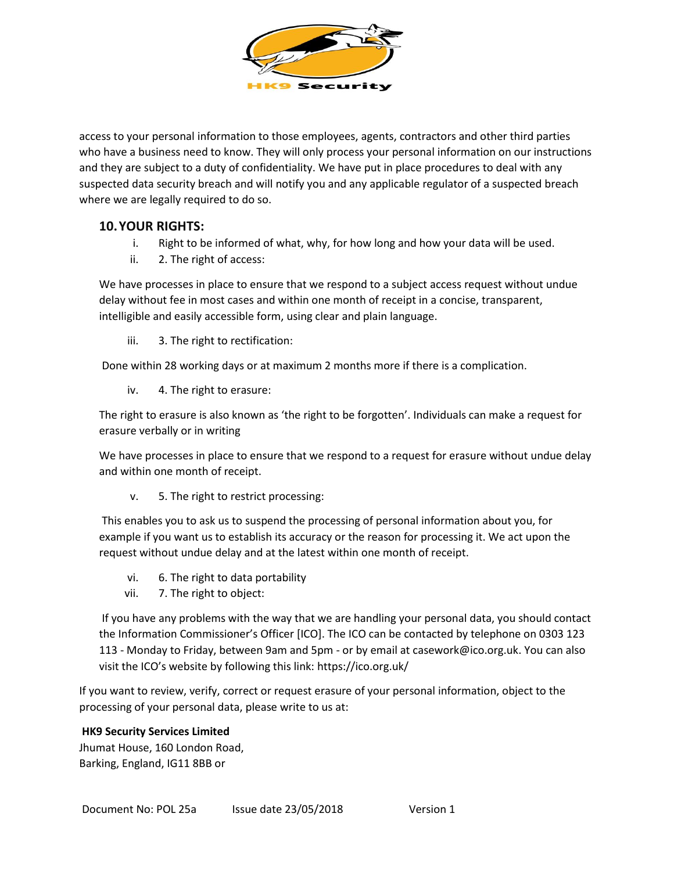

access to your personal information to those employees, agents, contractors and other third parties who have a business need to know. They will only process your personal information on our instructions and they are subject to a duty of confidentiality. We have put in place procedures to deal with any suspected data security breach and will notify you and any applicable regulator of a suspected breach where we are legally required to do so.

### **10.YOUR RIGHTS:**

- i. Right to be informed of what, why, for how long and how your data will be used.
- ii. 2. The right of access:

We have processes in place to ensure that we respond to a subject access request without undue delay without fee in most cases and within one month of receipt in a concise, transparent, intelligible and easily accessible form, using clear and plain language.

iii. 3. The right to rectification:

Done within 28 working days or at maximum 2 months more if there is a complication.

iv. 4. The right to erasure:

The right to erasure is also known as 'the right to be forgotten'. Individuals can make a request for erasure verbally or in writing

We have processes in place to ensure that we respond to a request for erasure without undue delay and within one month of receipt.

v. 5. The right to restrict processing:

This enables you to ask us to suspend the processing of personal information about you, for example if you want us to establish its accuracy or the reason for processing it. We act upon the request without undue delay and at the latest within one month of receipt.

- vi. 6. The right to data portability
- vii. 7. The right to object:

If you have any problems with the way that we are handling your personal data, you should contact the Information Commissioner's Officer [ICO]. The ICO can be contacted by telephone on 0303 123 113 - Monday to Friday, between 9am and 5pm - or by email at casework@ico.org.uk. You can also visit the ICO's website by following this link: <https://ico.org.uk/>

If you want to review, verify, correct or request erasure of your personal information, object to the processing of your personal data, please write to us at:

#### **HK9 Security Services Limited**

Jhumat House, 160 London Road, Barking, England, IG11 8BB or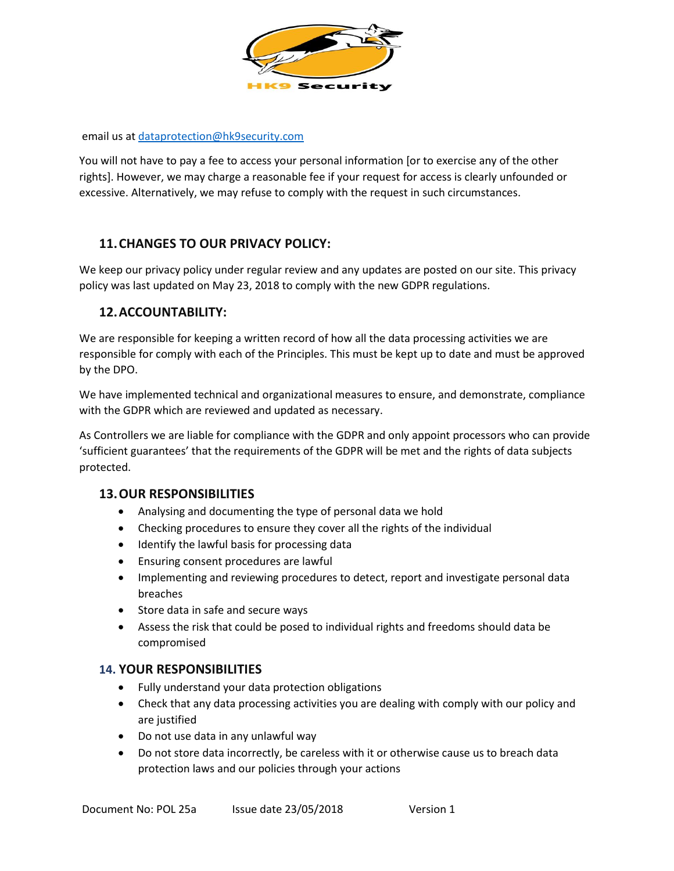

email us a[t dataprotection@hk9security.com](mailto:dataprotection@hk9security.com)

You will not have to pay a fee to access your personal information [or to exercise any of the other rights]. However, we may charge a reasonable fee if your request for access is clearly unfounded or excessive. Alternatively, we may refuse to comply with the request in such circumstances.

### **11.CHANGES TO OUR PRIVACY POLICY:**

We keep our privacy policy under regular review and any updates are posted on our site. This privacy policy was last updated on May 23, 2018 to comply with the new GDPR regulations.

### **12.ACCOUNTABILITY:**

We are responsible for keeping a written record of how all the data processing activities we are responsible for comply with each of the Principles. This must be kept up to date and must be approved by the DPO.

We have implemented technical and organizational measures to ensure, and demonstrate, compliance with the GDPR which are reviewed and updated as necessary.

As Controllers we are liable for compliance with the GDPR and only appoint processors who can provide 'sufficient guarantees' that the requirements of the GDPR will be met and the rights of data subjects protected.

#### **13.OUR RESPONSIBILITIES**

- Analysing and documenting the type of personal data we hold
- Checking procedures to ensure they cover all the rights of the individual
- Identify the lawful basis for processing data
- Ensuring consent procedures are lawful
- Implementing and reviewing procedures to detect, report and investigate personal data breaches
- Store data in safe and secure ways
- Assess the risk that could be posed to individual rights and freedoms should data be compromised

#### **14. YOUR RESPONSIBILITIES**

- Fully understand your data protection obligations
- Check that any data processing activities you are dealing with comply with our policy and are justified
- Do not use data in any unlawful way
- Do not store data incorrectly, be careless with it or otherwise cause us to breach data protection laws and our policies through your actions